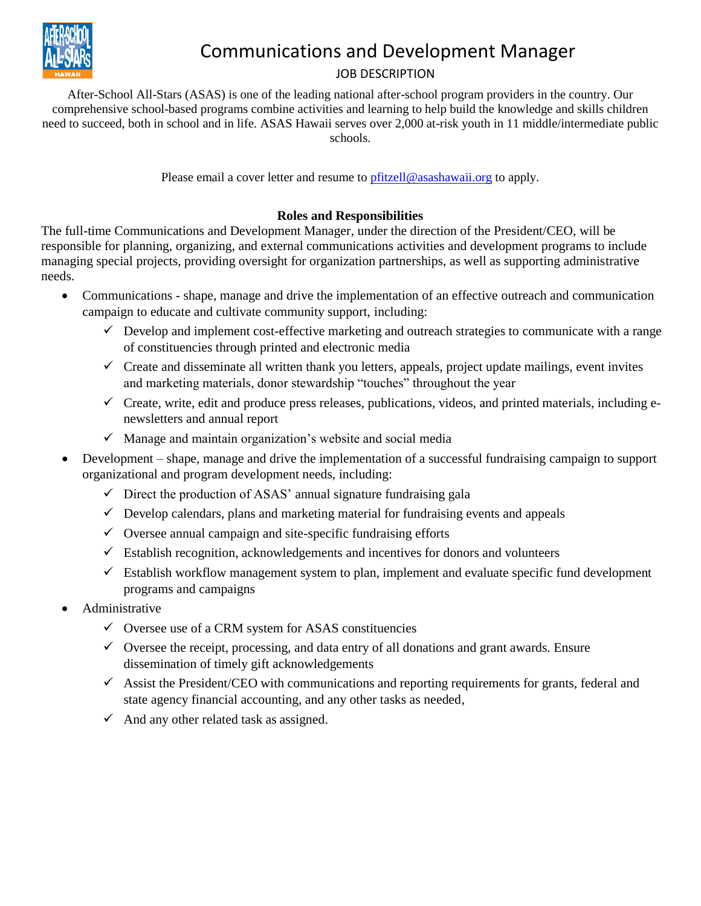

## Communications and Development Manager

## JOB DESCRIPTION

After-School All-Stars (ASAS) is one of the leading national after-school program providers in the country. Our comprehensive school-based programs combine activities and learning to help build the knowledge and skills children need to succeed, both in school and in life. ASAS Hawaii serves over 2,000 at-risk youth in 11 middle/intermediate public schools.

Please email a cover letter and resume to *pfitzell@asashawaii.org* to apply.

## **Roles and Responsibilities**

The full-time Communications and Development Manager, under the direction of the President/CEO, will be responsible for planning, organizing, and external communications activities and development programs to include managing special projects, providing oversight for organization partnerships, as well as supporting administrative needs.

- Communications shape, manage and drive the implementation of an effective outreach and communication campaign to educate and cultivate community support, including:
	- $\checkmark$  Develop and implement cost-effective marketing and outreach strategies to communicate with a range of constituencies through printed and electronic media
	- $\checkmark$  Create and disseminate all written thank you letters, appeals, project update mailings, event invites and marketing materials, donor stewardship "touches" throughout the year
	- $\checkmark$  Create, write, edit and produce press releases, publications, videos, and printed materials, including enewsletters and annual report
	- $\checkmark$  Manage and maintain organization's website and social media
- Development shape, manage and drive the implementation of a successful fundraising campaign to support organizational and program development needs, including:
	- $\checkmark$  Direct the production of ASAS' annual signature fundraising gala
	- $\checkmark$  Develop calendars, plans and marketing material for fundraising events and appeals
	- $\checkmark$  Oversee annual campaign and site-specific fundraising efforts
	- $\checkmark$  Establish recognition, acknowledgements and incentives for donors and volunteers
	- $\checkmark$  Establish workflow management system to plan, implement and evaluate specific fund development programs and campaigns
- Administrative
	- $\checkmark$  Oversee use of a CRM system for ASAS constituencies
	- $\checkmark$  Oversee the receipt, processing, and data entry of all donations and grant awards. Ensure dissemination of timely gift acknowledgements
	- $\checkmark$  Assist the President/CEO with communications and reporting requirements for grants, federal and state agency financial accounting, and any other tasks as needed,
	- $\checkmark$  And any other related task as assigned.